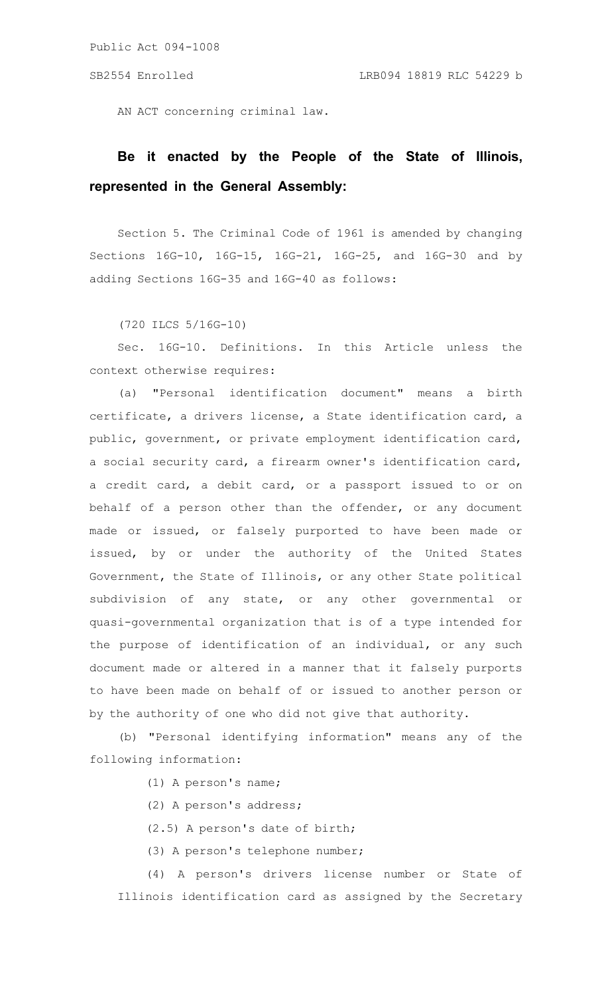AN ACT concerning criminal law.

## **Be it enacted by the People of the State of Illinois, represented in the General Assembly:**

Section 5. The Criminal Code of 1961 is amended by changing Sections 16G-10, 16G-15, 16G-21, 16G-25, and 16G-30 and by adding Sections 16G-35 and 16G-40 as follows:

(720 ILCS 5/16G-10)

Sec. 16G-10. Definitions. In this Article unless the context otherwise requires:

(a) "Personal identification document" means a birth certificate, a drivers license, a State identification card, a public, government, or private employment identification card, a social security card, a firearm owner's identification card, a credit card, a debit card, or a passport issued to or on behalf of a person other than the offender, or any document made or issued, or falsely purported to have been made or issued, by or under the authority of the United States Government, the State of Illinois, or any other State political subdivision of any state, or any other governmental or quasi-governmental organization that is of a type intended for the purpose of identification of an individual, or any such document made or altered in a manner that it falsely purports to have been made on behalf of or issued to another person or by the authority of one who did not give that authority.

(b) "Personal identifying information" means any of the following information:

(1) A person's name;

(2) A person's address;

(2.5) A person's date of birth;

(3) A person's telephone number;

(4) A person's drivers license number or State of Illinois identification card as assigned by the Secretary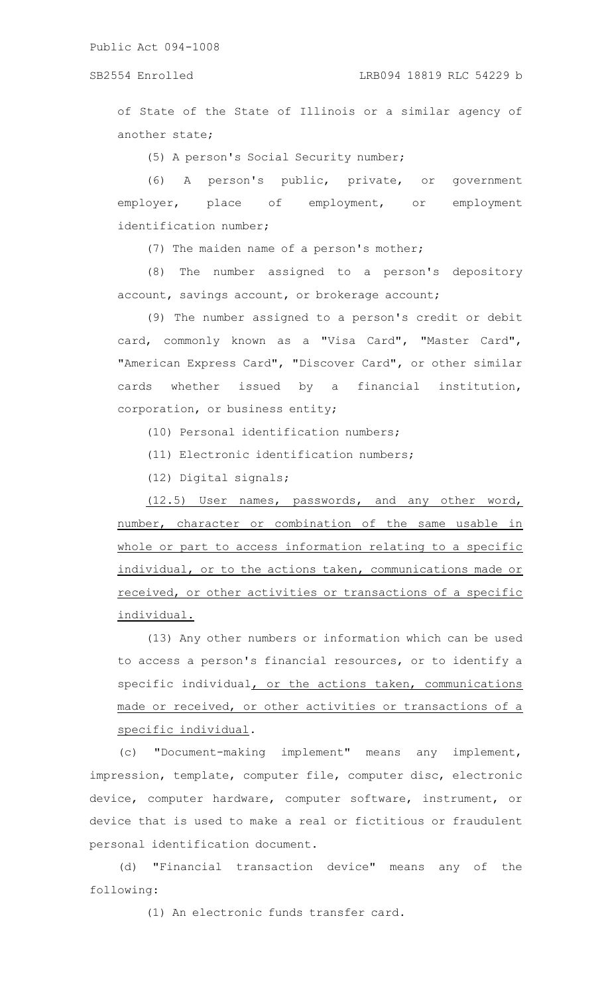of State of the State of Illinois or a similar agency of another state;

(5) A person's Social Security number;

(6) A person's public, private, or government employer, place of employment, or employment identification number;

(7) The maiden name of a person's mother;

(8) The number assigned to a person's depository account, savings account, or brokerage account;

(9) The number assigned to a person's credit or debit card, commonly known as a "Visa Card", "Master Card", "American Express Card", "Discover Card", or other similar cards whether issued by a financial institution, corporation, or business entity;

(10) Personal identification numbers;

(11) Electronic identification numbers;

(12) Digital signals;

(12.5) User names, passwords, and any other word, number, character or combination of the same usable in whole or part to access information relating to a specific individual, or to the actions taken, communications made or received, or other activities or transactions of a specific individual.

(13) Any other numbers or information which can be used to access a person's financial resources, or to identify a specific individual, or the actions taken, communications made or received, or other activities or transactions of a specific individual.

(c) "Document-making implement" means any implement, impression, template, computer file, computer disc, electronic device, computer hardware, computer software, instrument, or device that is used to make a real or fictitious or fraudulent personal identification document.

(d) "Financial transaction device" means any of the following:

(1) An electronic funds transfer card.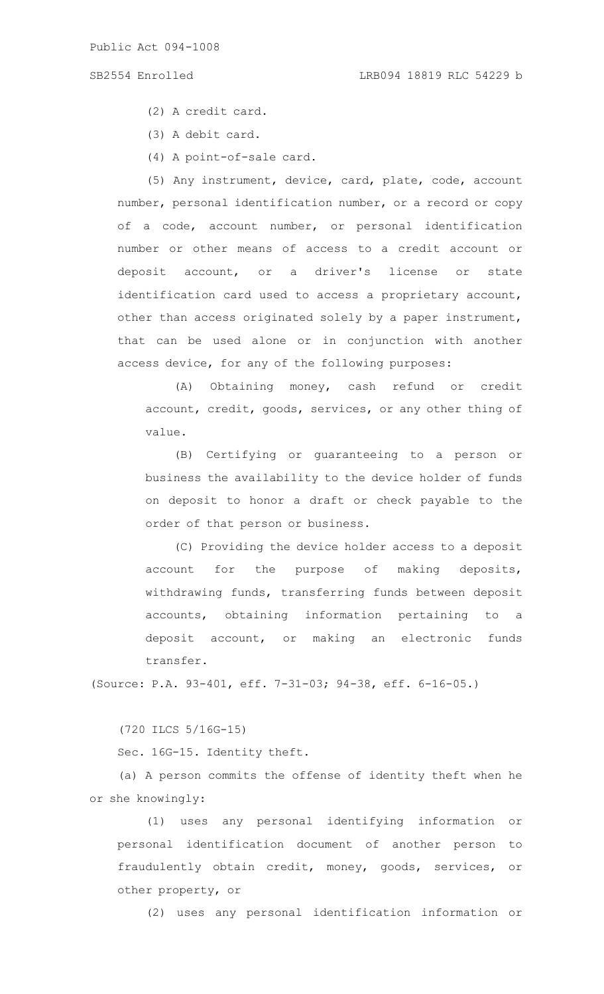(2) A credit card.

- (3) A debit card.
- (4) A point-of-sale card.

(5) Any instrument, device, card, plate, code, account number, personal identification number, or a record or copy of a code, account number, or personal identification number or other means of access to a credit account or deposit account, or a driver's license or state identification card used to access a proprietary account, other than access originated solely by a paper instrument, that can be used alone or in conjunction with another access device, for any of the following purposes:

(A) Obtaining money, cash refund or credit account, credit, goods, services, or any other thing of value.

(B) Certifying or guaranteeing to a person or business the availability to the device holder of funds on deposit to honor a draft or check payable to the order of that person or business.

(C) Providing the device holder access to a deposit account for the purpose of making deposits, withdrawing funds, transferring funds between deposit accounts, obtaining information pertaining to a deposit account, or making an electronic funds transfer.

(Source: P.A. 93-401, eff. 7-31-03; 94-38, eff. 6-16-05.)

(720 ILCS 5/16G-15)

Sec. 16G-15. Identity theft.

(a) A person commits the offense of identity theft when he or she knowingly:

(1) uses any personal identifying information or personal identification document of another person to fraudulently obtain credit, money, goods, services, or other property, or

(2) uses any personal identification information or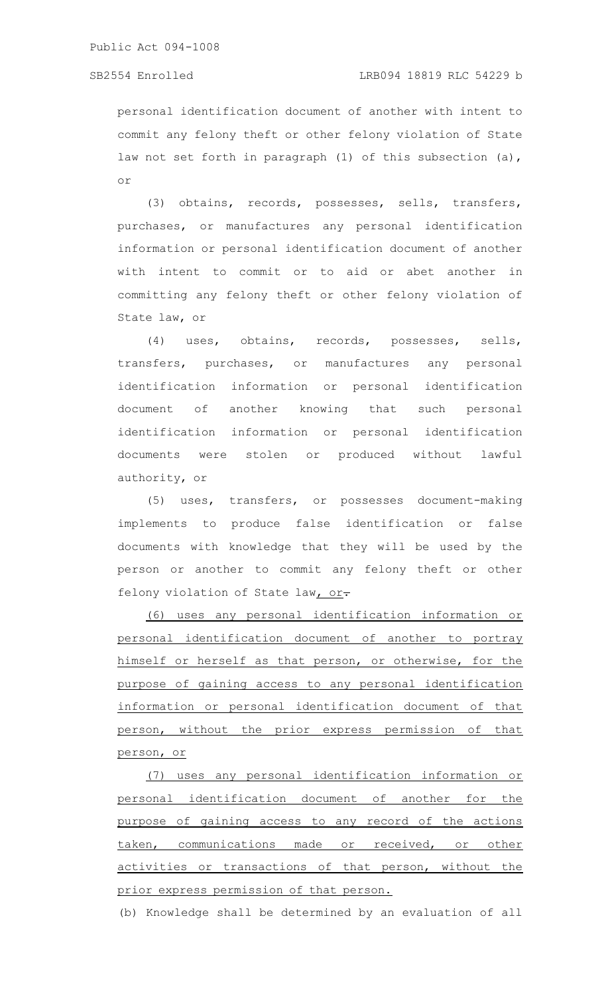personal identification document of another with intent to commit any felony theft or other felony violation of State law not set forth in paragraph (1) of this subsection (a), or

(3) obtains, records, possesses, sells, transfers, purchases, or manufactures any personal identification information or personal identification document of another with intent to commit or to aid or abet another in committing any felony theft or other felony violation of State law, or

(4) uses, obtains, records, possesses, sells, transfers, purchases, or manufactures any personal identification information or personal identification document of another knowing that such personal identification information or personal identification documents were stolen or produced without lawful authority, or

(5) uses, transfers, or possesses document-making implements to produce false identification or false documents with knowledge that they will be used by the person or another to commit any felony theft or other felony violation of State law, or.

(6) uses any personal identification information or personal identification document of another to portray himself or herself as that person, or otherwise, for the purpose of gaining access to any personal identification information or personal identification document of that person, without the prior express permission of that person, or

(7) uses any personal identification information or personal identification document of another for the purpose of gaining access to any record of the actions taken, communications made or received, or other activities or transactions of that person, without the prior express permission of that person.

(b) Knowledge shall be determined by an evaluation of all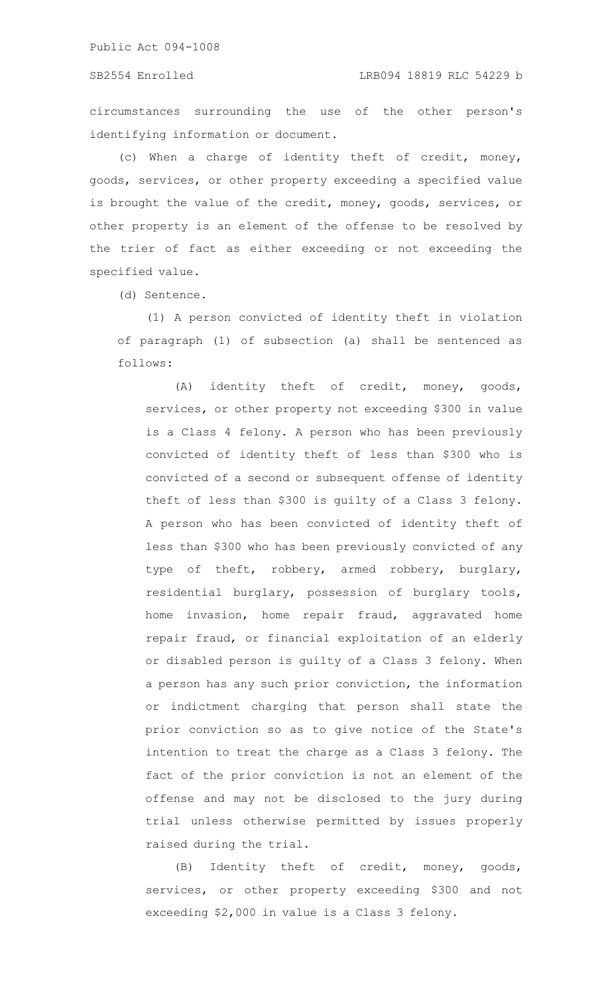circumstances surrounding the use of the other person's identifying information or document.

(c) When a charge of identity theft of credit, money, goods, services, or other property exceeding a specified value is brought the value of the credit, money, goods, services, or other property is an element of the offense to be resolved by the trier of fact as either exceeding or not exceeding the specified value.

(d) Sentence.

(1) A person convicted of identity theft in violation of paragraph (1) of subsection (a) shall be sentenced as follows:

(A) identity theft of credit, money, goods, services, or other property not exceeding \$300 in value is a Class 4 felony. A person who has been previously convicted of identity theft of less than \$300 who is convicted of a second or subsequent offense of identity theft of less than \$300 is guilty of a Class 3 felony. A person who has been convicted of identity theft of less than \$300 who has been previously convicted of any type of theft, robbery, armed robbery, burglary, residential burglary, possession of burglary tools, home invasion, home repair fraud, aggravated home repair fraud, or financial exploitation of an elderly or disabled person is guilty of a Class 3 felony. When a person has any such prior conviction, the information or indictment charging that person shall state the prior conviction so as to give notice of the State's intention to treat the charge as a Class 3 felony. The fact of the prior conviction is not an element of the offense and may not be disclosed to the jury during trial unless otherwise permitted by issues properly raised during the trial.

(B) Identity theft of credit, money, goods, services, or other property exceeding \$300 and not exceeding \$2,000 in value is a Class 3 felony.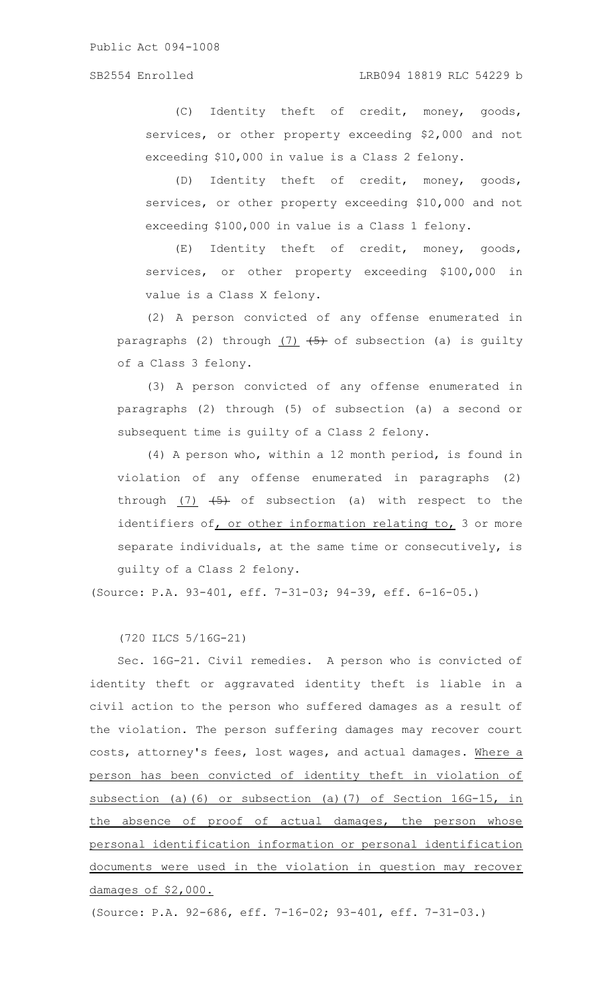(C) Identity theft of credit, money, goods, services, or other property exceeding \$2,000 and not exceeding \$10,000 in value is a Class 2 felony.

(D) Identity theft of credit, money, goods, services, or other property exceeding \$10,000 and not exceeding \$100,000 in value is a Class 1 felony.

(E) Identity theft of credit, money, goods, services, or other property exceeding \$100,000 in value is a Class X felony.

(2) A person convicted of any offense enumerated in paragraphs (2) through  $(7)$   $(5)$  of subsection (a) is guilty of a Class 3 felony.

(3) A person convicted of any offense enumerated in paragraphs (2) through (5) of subsection (a) a second or subsequent time is guilty of a Class 2 felony.

(4) A person who, within a 12 month period, is found in violation of any offense enumerated in paragraphs (2) through  $(7)$   $(5)$  of subsection (a) with respect to the identifiers of, or other information relating to,  $3$  or more separate individuals, at the same time or consecutively, is guilty of a Class 2 felony.

(Source: P.A. 93-401, eff. 7-31-03; 94-39, eff. 6-16-05.)

(720 ILCS 5/16G-21)

Sec. 16G-21. Civil remedies. A person who is convicted of identity theft or aggravated identity theft is liable in a civil action to the person who suffered damages as a result of the violation. The person suffering damages may recover court costs, attorney's fees, lost wages, and actual damages. Where a person has been convicted of identity theft in violation of subsection (a)(6) or subsection (a)(7) of Section 16G-15, in the absence of proof of actual damages, the person whose personal identification information or personal identification documents were used in the violation in question may recover damages of \$2,000.

(Source: P.A. 92-686, eff. 7-16-02; 93-401, eff. 7-31-03.)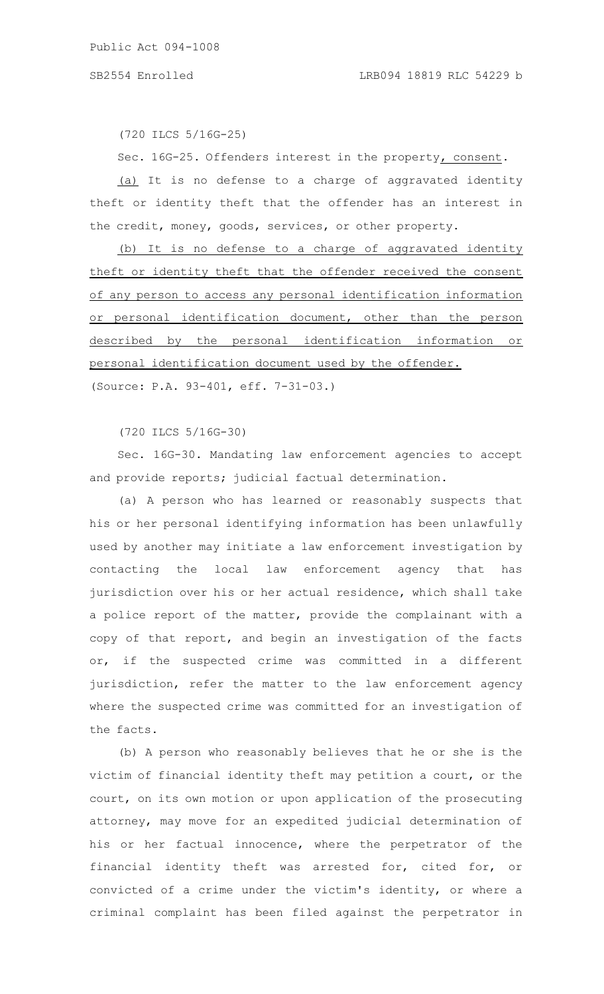(720 ILCS 5/16G-25)

Sec. 16G-25. Offenders interest in the property, consent.

(a) It is no defense to a charge of aggravated identity theft or identity theft that the offender has an interest in the credit, money, goods, services, or other property.

(b) It is no defense to a charge of aggravated identity theft or identity theft that the offender received the consent of any person to access any personal identification information or personal identification document, other than the person described by the personal identification information or personal identification document used by the offender. (Source: P.A. 93-401, eff. 7-31-03.)

(720 ILCS 5/16G-30)

Sec. 16G-30. Mandating law enforcement agencies to accept and provide reports; judicial factual determination.

(a) A person who has learned or reasonably suspects that his or her personal identifying information has been unlawfully used by another may initiate a law enforcement investigation by contacting the local law enforcement agency that has jurisdiction over his or her actual residence, which shall take a police report of the matter, provide the complainant with a copy of that report, and begin an investigation of the facts or, if the suspected crime was committed in a different jurisdiction, refer the matter to the law enforcement agency where the suspected crime was committed for an investigation of the facts.

(b) A person who reasonably believes that he or she is the victim of financial identity theft may petition a court, or the court, on its own motion or upon application of the prosecuting attorney, may move for an expedited judicial determination of his or her factual innocence, where the perpetrator of the financial identity theft was arrested for, cited for, or convicted of a crime under the victim's identity, or where a criminal complaint has been filed against the perpetrator in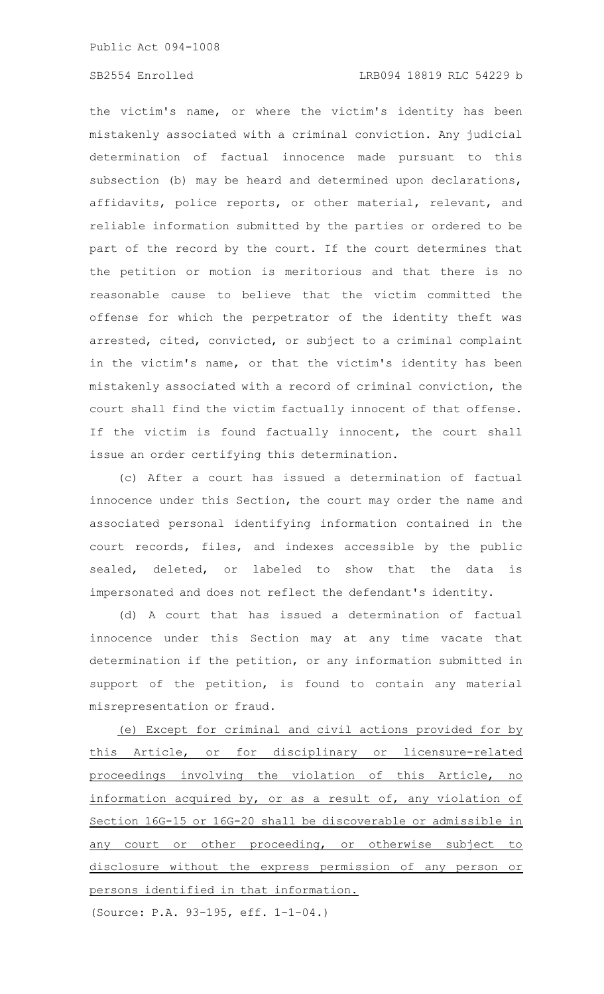the victim's name, or where the victim's identity has been mistakenly associated with a criminal conviction. Any judicial determination of factual innocence made pursuant to this subsection (b) may be heard and determined upon declarations, affidavits, police reports, or other material, relevant, and reliable information submitted by the parties or ordered to be part of the record by the court. If the court determines that the petition or motion is meritorious and that there is no reasonable cause to believe that the victim committed the offense for which the perpetrator of the identity theft was arrested, cited, convicted, or subject to a criminal complaint in the victim's name, or that the victim's identity has been mistakenly associated with a record of criminal conviction, the court shall find the victim factually innocent of that offense. If the victim is found factually innocent, the court shall issue an order certifying this determination.

(c) After a court has issued a determination of factual innocence under this Section, the court may order the name and associated personal identifying information contained in the court records, files, and indexes accessible by the public sealed, deleted, or labeled to show that the data is impersonated and does not reflect the defendant's identity.

(d) A court that has issued a determination of factual innocence under this Section may at any time vacate that determination if the petition, or any information submitted in support of the petition, is found to contain any material misrepresentation or fraud.

(e) Except for criminal and civil actions provided for by this Article, or for disciplinary or licensure-related proceedings involving the violation of this Article, no information acquired by, or as a result of, any violation of Section 16G-15 or 16G-20 shall be discoverable or admissible in any court or other proceeding, or otherwise subject to disclosure without the express permission of any person or persons identified in that information.

(Source: P.A. 93-195, eff. 1-1-04.)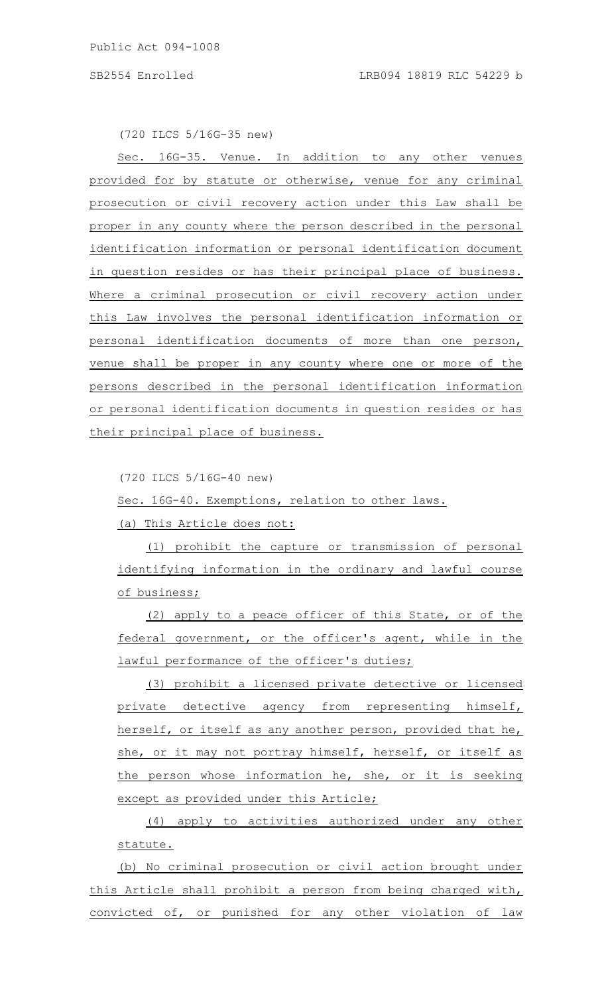(720 ILCS 5/16G-35 new)

16G-35. Venue. In addition to any other venues provided for by statute or otherwise, venue for any criminal prosecution or civil recovery action under this Law shall be proper in any county where the person described in the personal identification information or personal identification document in question resides or has their principal place of business. Where a criminal prosecution or civil recovery action under this Law involves the personal identification information or personal identification documents of more than one person, venue shall be proper in any county where one or more of the persons described in the personal identification information or personal identification documents in question resides or has their principal place of business.

(720 ILCS 5/16G-40 new)

Sec. 16G-40. Exemptions, relation to other laws.

(a) This Article does not:

(1) prohibit the capture or transmission of personal identifying information in the ordinary and lawful course of business;

(2) apply to a peace officer of this State, or of the federal government, or the officer's agent, while in the lawful performance of the officer's duties;

(3) prohibit a licensed private detective or licensed private detective agency from representing himself, herself, or itself as any another person, provided that he, she, or it may not portray himself, herself, or itself as the person whose information he, she, or it is seeking except as provided under this Article;

(4) apply to activities authorized under any other statute.

(b) No criminal prosecution or civil action brought under this Article shall prohibit a person from being charged with, convicted of, or punished for any other violation of law